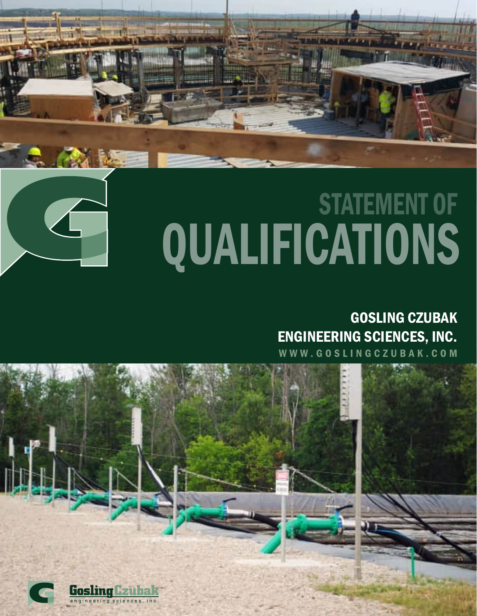



# QUALIFICATIONS STATEMENT OF

### GOSLING CZUBAK ENGINEERING SCIENCES, INC.

WWW.GOSLINGCZUBAK.COM

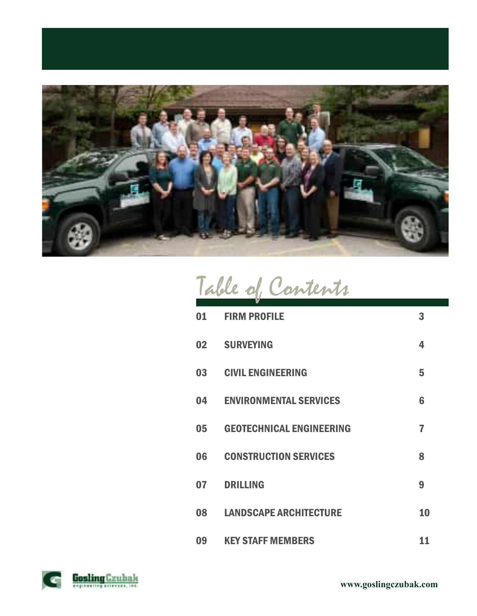

|  | Table of Contents |
|--|-------------------|
|  |                   |

| 01 | <b>FIRM PROFILE</b>             | 3  |
|----|---------------------------------|----|
| 02 | <b>SURVEYING</b>                | 4  |
| 03 | <b>CIVIL ENGINEERING</b>        | 5  |
| 04 | <b>ENVIRONMENTAL SERVICES</b>   | 6  |
| 05 | <b>GEOTECHNICAL ENGINEERING</b> | 7  |
| 06 | <b>CONSTRUCTION SERVICES</b>    | 8  |
| 07 | <b>DRILLING</b>                 | 9  |
| 08 | <b>LANDSCAPE ARCHITECTURE</b>   | 10 |
| 09 | <b>KEY STAFF MEMBERS</b>        | 11 |

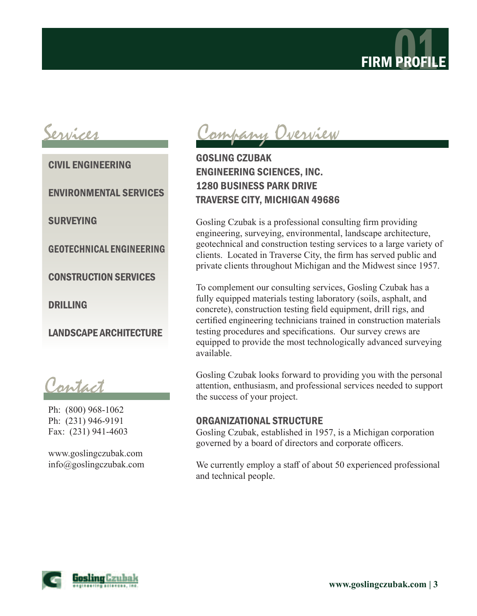

CIVIL ENGINEERING

ENVIRONMENTAL SERVICES

SURVEYING

GEOTECHNICAL ENGINEERING

CONSTRUCTION SERVICES

DRILLING

LANDSCAPE ARCHITECTURE

Contact

Ph: (800) 968-1062 Ph: (231) 946-9191 Fax: (231) 941-4603

www.goslingczubak.com info@goslingczubak.com

Services Company Overview

### GOSLING CZUBAK ENGINEERING SCIENCES, INC. 1280 BUSINESS PARK DRIVE TRAVERSE CITY, MICHIGAN 49686

Gosling Czubak is a professional consulting firm providing engineering, surveying, environmental, landscape architecture, geotechnical and construction testing services to a large variety of clients. Located in Traverse City, the firm has served public and private clients throughout Michigan and the Midwest since 1957.

To complement our consulting services, Gosling Czubak has a fully equipped materials testing laboratory (soils, asphalt, and concrete), construction testing field equipment, drill rigs, and certified engineering technicians trained in construction materials testing procedures and specifications. Our survey crews are equipped to provide the most technologically advanced surveying available.

Gosling Czubak looks forward to providing you with the personal attention, enthusiasm, and professional services needed to support the success of your project.

#### ORGANIZATIONAL STRUCTURE

Gosling Czubak, established in 1957, is a Michigan corporation governed by a board of directors and corporate officers.

We currently employ a staff of about 50 experienced professional and technical people.

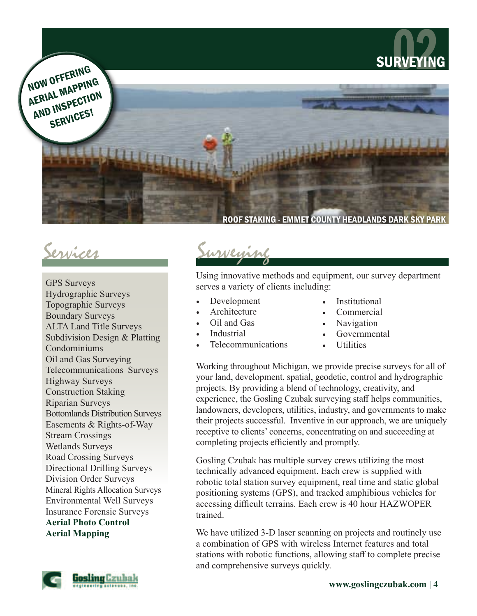

Services

GPS Surveys Hydrographic Surveys Topographic Surveys Boundary Surveys ALTA Land Title Surveys Subdivision Design & Platting Condominiums Oil and Gas Surveying Telecommunications Surveys Highway Surveys Construction Staking Riparian Surveys Bottomlands Distribution Surveys Easements & Rights-of-Way Stream Crossings Wetlands Surveys Road Crossing Surveys Directional Drilling Surveys Division Order Surveys Mineral Rights Allocation Surveys Environmental Well Surveys Insurance Forensic Surveys **Aerial Photo Control**

**Aerial Mapping**



Using innovative methods and equipment, our survey department serves a variety of clients including:

- Development
- **Architecture**
- Oil and Gas
- Industrial
- Telecommunications
- **Institutional**
- Commercial
- Navigation
- Governmental
- *Utilities*

Working throughout Michigan, we provide precise surveys for all of your land, development, spatial, geodetic, control and hydrographic projects. By providing a blend of technology, creativity, and experience, the Gosling Czubak surveying staff helps communities, landowners, developers, utilities, industry, and governments to make their projects successful. Inventive in our approach, we are uniquely receptive to clients' concerns, concentrating on and succeeding at completing projects efficiently and promptly.

Gosling Czubak has multiple survey crews utilizing the most technically advanced equipment. Each crew is supplied with robotic total station survey equipment, real time and static global positioning systems (GPS), and tracked amphibious vehicles for accessing difficult terrains. Each crew is 40 hour HAZWOPER trained.

We have utilized 3-D laser scanning on projects and routinely use a combination of GPS with wireless Internet features and total stations with robotic functions, allowing staff to complete precise and comprehensive surveys quickly.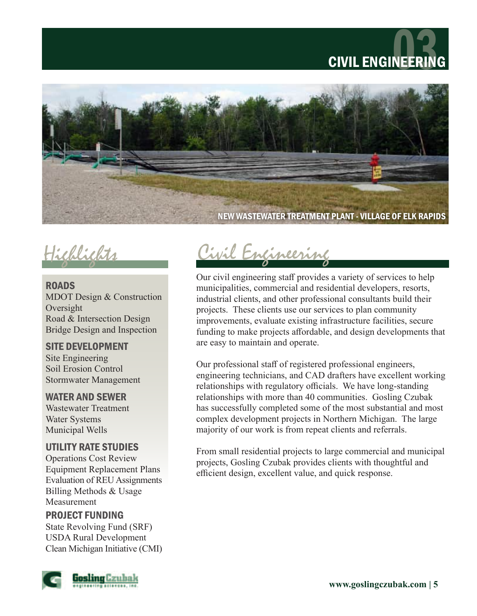



ROADS MDOT Design & Construction Oversight Road & Intersection Design Bridge Design and Inspection

### SITE DEVELOPMENT

Site Engineering Soil Erosion Control Stormwater Management

### WATER AND SEWER

Wastewater Treatment Water Systems Municipal Wells

### UTILITY RATE STUDIES

Operations Cost Review Equipment Replacement Plans Evaluation of REU Assignments Billing Methods & Usage Measurement

### PROJECT FUNDING

State Revolving Fund (SRF) USDA Rural Development Clean Michigan Initiative (CMI)



## Highlights Civil Engineering

Our civil engineering staff provides a variety of services to help municipalities, commercial and residential developers, resorts, industrial clients, and other professional consultants build their projects. These clients use our services to plan community improvements, evaluate existing infrastructure facilities, secure funding to make projects affordable, and design developments that are easy to maintain and operate.

Our professional staff of registered professional engineers, engineering technicians, and CAD drafters have excellent working relationships with regulatory officials. We have long-standing relationships with more than 40 communities. Gosling Czubak has successfully completed some of the most substantial and most complex development projects in Northern Michigan. The large majority of our work is from repeat clients and referrals.

From small residential projects to large commercial and municipal projects, Gosling Czubak provides clients with thoughtful and efficient design, excellent value, and quick response.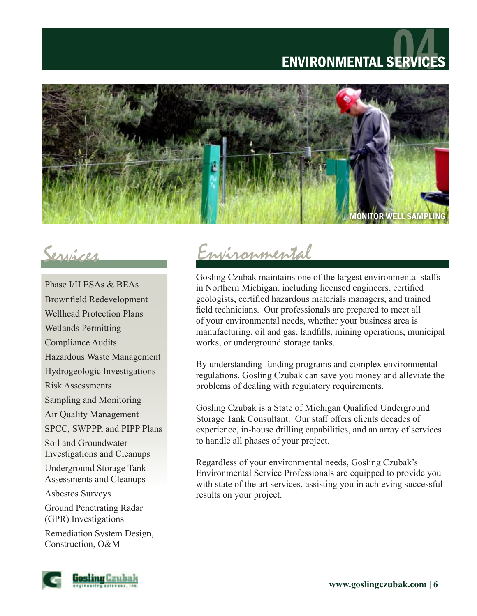# ENVIRONMENTAL SERVICE



Phase I/II ESAs & BEAs Brownfield Redevelopment Wellhead Protection Plans Wetlands Permitting Compliance Audits Hazardous Waste Management Hydrogeologic Investigations Risk Assessments Sampling and Monitoring Air Quality Management SPCC, SWPPP, and PIPP Plans Soil and Groundwater Investigations and Cleanups Underground Storage Tank Assessments and Cleanups Asbestos Surveys Ground Penetrating Radar (GPR) Investigations Remediation System Design, Construction, O&M

### Services Environmental

Gosling Czubak maintains one of the largest environmental staffs in Northern Michigan, including licensed engineers, certified geologists, certified hazardous materials managers, and trained field technicians. Our professionals are prepared to meet all of your environmental needs, whether your business area is manufacturing, oil and gas, landfills, mining operations, municipal works, or underground storage tanks.

By understanding funding programs and complex environmental regulations, Gosling Czubak can save you money and alleviate the problems of dealing with regulatory requirements.

Gosling Czubak is a State of Michigan Qualified Underground Storage Tank Consultant. Our staff offers clients decades of experience, in-house drilling capabilities, and an array of services to handle all phases of your project.

Regardless of your environmental needs, Gosling Czubak's Environmental Service Professionals are equipped to provide you with state of the art services, assisting you in achieving successful results on your project.

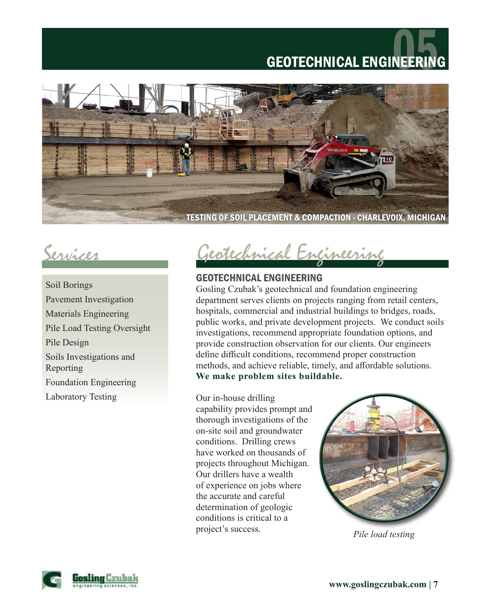# **GEOTECHNICAL ENGINEER**



Soil Borings Pavement Investigation Materials Engineering Pile Load Testing Oversight Pile Design Soils Investigations and Reporting Foundation Engineering Laboratory Testing

Services Geotechnical Engineering

### GEOTECHNICAL ENGINEERING

Gosling Czubak's geotechnical and foundation engineering department serves clients on projects ranging from retail centers, hospitals, commercial and industrial buildings to bridges, roads, public works, and private development projects. We conduct soils investigations, recommend appropriate foundation options, and provide construction observation for our clients. Our engineers define difficult conditions, recommend proper construction methods, and achieve reliable, timely, and affordable solutions. **We make problem sites buildable.**

Our in-house drilling capability provides prompt and thorough investigations of the on-site soil and groundwater conditions. Drilling crews have worked on thousands of projects throughout Michigan. Our drillers have a wealth of experience on jobs where the accurate and careful determination of geologic conditions is critical to a project's success.



*Pile load testing*

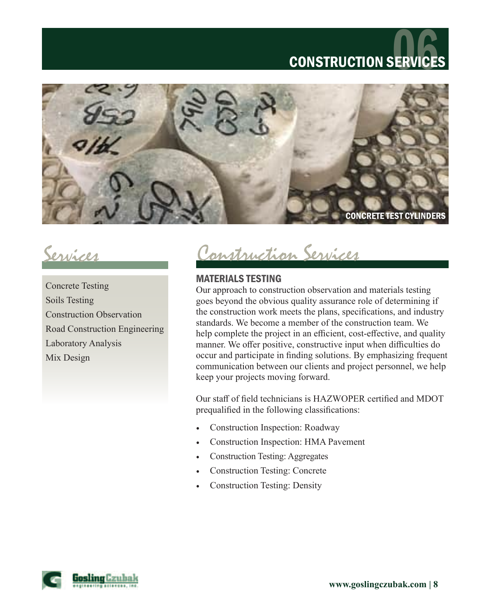# **CONSTRUCTION SERVIC**



Concrete Testing Soils Testing Construction Observation Road Construction Engineering Laboratory Analysis Mix Design

Services Construction Services

### MATERIALS TESTING

Our approach to construction observation and materials testing goes beyond the obvious quality assurance role of determining if the construction work meets the plans, specifications, and industry standards. We become a member of the construction team. We help complete the project in an efficient, cost-effective, and quality manner. We offer positive, constructive input when difficulties do occur and participate in finding solutions. By emphasizing frequent communication between our clients and project personnel, we help keep your projects moving forward.

Our staff of field technicians is HAZWOPER certified and MDOT prequalified in the following classifications:

- Construction Inspection: Roadway
- Construction Inspection: HMA Pavement
- Construction Testing: Aggregates
- Construction Testing: Concrete
- Construction Testing: Density

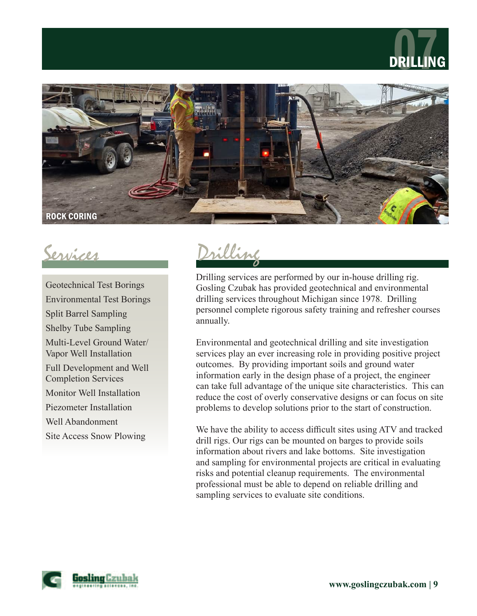





Geotechnical Test Borings Environmental Test Borings Split Barrel Sampling Shelby Tube Sampling Multi-Level Ground Water/ Vapor Well Installation Full Development and Well Completion Services Monitor Well Installation Piezometer Installation Well Abandonment Site Access Snow Plowing

Services Drilling

Drilling services are performed by our in-house drilling rig. Gosling Czubak has provided geotechnical and environmental drilling services throughout Michigan since 1978. Drilling personnel complete rigorous safety training and refresher courses annually.

Environmental and geotechnical drilling and site investigation services play an ever increasing role in providing positive project outcomes. By providing important soils and ground water information early in the design phase of a project, the engineer can take full advantage of the unique site characteristics. This can reduce the cost of overly conservative designs or can focus on site problems to develop solutions prior to the start of construction.

We have the ability to access difficult sites using ATV and tracked drill rigs. Our rigs can be mounted on barges to provide soils information about rivers and lake bottoms. Site investigation and sampling for environmental projects are critical in evaluating risks and potential cleanup requirements. The environmental professional must be able to depend on reliable drilling and sampling services to evaluate site conditions.

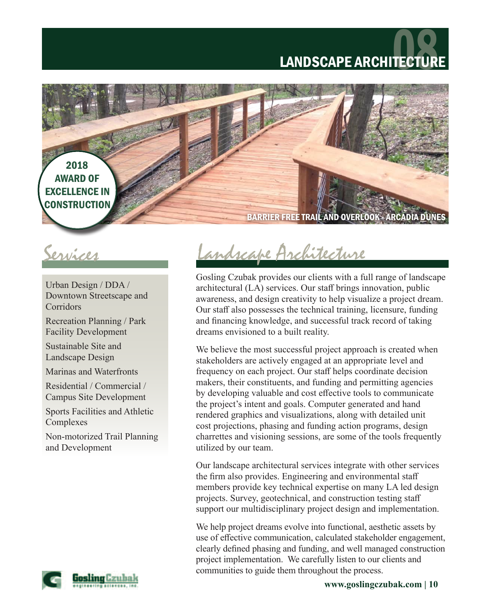## LANDSCAPE ARCHITECTU



Urban Design / DDA / Downtown Streetscape and Corridors

Recreation Planning / Park Facility Development

Sustainable Site and Landscape Design

Marinas and Waterfronts

Residential / Commercial / Campus Site Development

Sports Facilities and Athletic Complexes

Non-motorized Trail Planning and Development



Services Landscape Architecture

Gosling Czubak provides our clients with a full range of landscape architectural (LA) services. Our staff brings innovation, public awareness, and design creativity to help visualize a project dream. Our staff also possesses the technical training, licensure, funding and financing knowledge, and successful track record of taking dreams envisioned to a built reality.

We believe the most successful project approach is created when stakeholders are actively engaged at an appropriate level and frequency on each project. Our staff helps coordinate decision makers, their constituents, and funding and permitting agencies by developing valuable and cost effective tools to communicate the project's intent and goals. Computer generated and hand rendered graphics and visualizations, along with detailed unit cost projections, phasing and funding action programs, design charrettes and visioning sessions, are some of the tools frequently utilized by our team.

Our landscape architectural services integrate with other services the firm also provides. Engineering and environmental staff members provide key technical expertise on many LA led design projects. Survey, geotechnical, and construction testing staff support our multidisciplinary project design and implementation.

We help project dreams evolve into functional, aesthetic assets by use of effective communication, calculated stakeholder engagement, clearly defined phasing and funding, and well managed construction project implementation. We carefully listen to our clients and communities to guide them throughout the process.